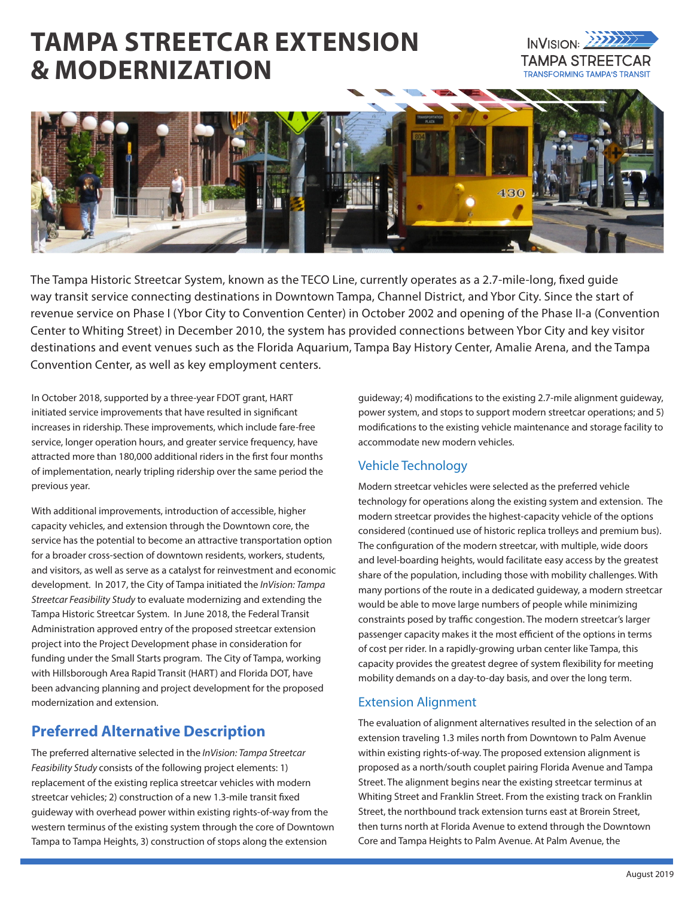# **TAMPA STREETCAR EXTENSION & MODERNIZATION**





The Tampa Historic Streetcar System, known as the TECO Line, currently operates as a 2.7-mile-long, fixed guide way transit service connecting destinations in Downtown Tampa, Channel District, and Ybor City. Since the start of revenue service on Phase I (Ybor City to Convention Center) in October 2002 and opening of the Phase II-a (Convention Center to Whiting Street) in December 2010, the system has provided connections between Ybor City and key visitor destinations and event venues such as the Florida Aquarium, Tampa Bay History Center, Amalie Arena, and the Tampa Convention Center, as well as key employment centers.

In October 2018, supported by a three-year FDOT grant, HART initiated service improvements that have resulted in significant increases in ridership. These improvements, which include fare-free service, longer operation hours, and greater service frequency, have attracted more than 180,000 additional riders in the first four months of implementation, nearly tripling ridership over the same period the previous year.

With additional improvements, introduction of accessible, higher capacity vehicles, and extension through the Downtown core, the service has the potential to become an attractive transportation option for a broader cross-section of downtown residents, workers, students, and visitors, as well as serve as a catalyst for reinvestment and economic development. In 2017, the City of Tampa initiated the *InVision: Tampa Streetcar Feasibility Study* to evaluate modernizing and extending the Tampa Historic Streetcar System. In June 2018, the Federal Transit Administration approved entry of the proposed streetcar extension project into the Project Development phase in consideration for funding under the Small Starts program. The City of Tampa, working with Hillsborough Area Rapid Transit (HART) and Florida DOT, have been advancing planning and project development for the proposed modernization and extension.

## **Preferred Alternative Description**

The preferred alternative selected in the *InVision: Tampa Streetcar Feasibility Study* consists of the following project elements: 1) replacement of the existing replica streetcar vehicles with modern streetcar vehicles; 2) construction of a new 1.3-mile transit fixed guideway with overhead power within existing rights-of-way from the western terminus of the existing system through the core of Downtown Tampa to Tampa Heights, 3) construction of stops along the extension

guideway; 4) modifications to the existing 2.7-mile alignment guideway, power system, and stops to support modern streetcar operations; and 5) modifications to the existing vehicle maintenance and storage facility to accommodate new modern vehicles.

### Vehicle Technology

Modern streetcar vehicles were selected as the preferred vehicle technology for operations along the existing system and extension. The modern streetcar provides the highest-capacity vehicle of the options considered (continued use of historic replica trolleys and premium bus). The configuration of the modern streetcar, with multiple, wide doors and level-boarding heights, would facilitate easy access by the greatest share of the population, including those with mobility challenges. With many portions of the route in a dedicated guideway, a modern streetcar would be able to move large numbers of people while minimizing constraints posed by traffic congestion. The modern streetcar's larger passenger capacity makes it the most efficient of the options in terms of cost per rider. In a rapidly-growing urban center like Tampa, this capacity provides the greatest degree of system flexibility for meeting mobility demands on a day-to-day basis, and over the long term.

#### Extension Alignment

The evaluation of alignment alternatives resulted in the selection of an extension traveling 1.3 miles north from Downtown to Palm Avenue within existing rights-of-way. The proposed extension alignment is proposed as a north/south couplet pairing Florida Avenue and Tampa Street. The alignment begins near the existing streetcar terminus at Whiting Street and Franklin Street. From the existing track on Franklin Street, the northbound track extension turns east at Brorein Street, then turns north at Florida Avenue to extend through the Downtown Core and Tampa Heights to Palm Avenue. At Palm Avenue, the